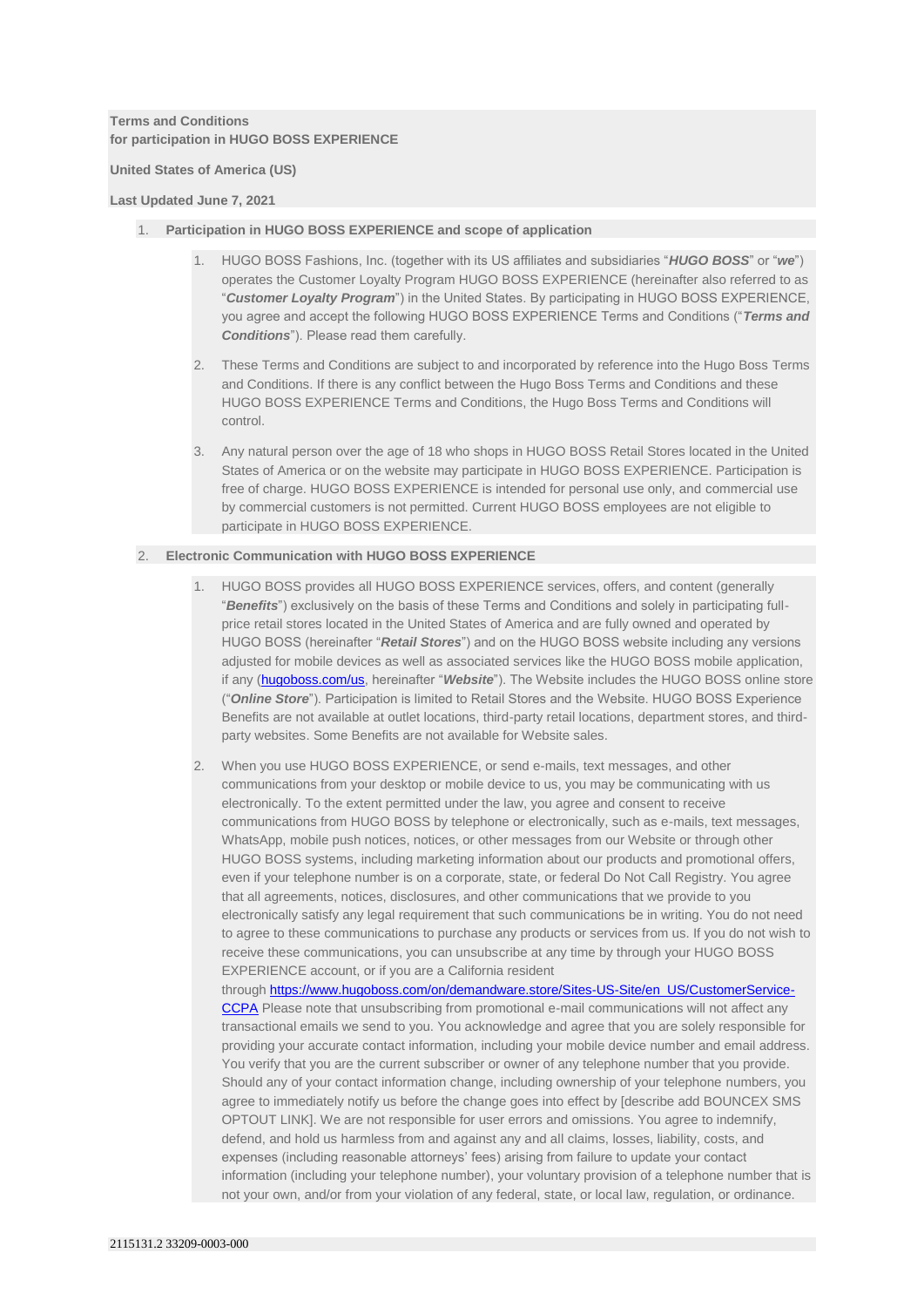# **Terms and Conditions for participation in HUGO BOSS EXPERIENCE**

**United States of America (US)**

## **Last Updated June 7, 2021**

# 1. **Participation in HUGO BOSS EXPERIENCE and scope of application**

- 1. HUGO BOSS Fashions, Inc. (together with its US affiliates and subsidiaries "*HUGO BOSS*" or "*we*") operates the Customer Loyalty Program HUGO BOSS EXPERIENCE (hereinafter also referred to as "*Customer Loyalty Program*") in the United States. By participating in HUGO BOSS EXPERIENCE, you agree and accept the following HUGO BOSS EXPERIENCE Terms and Conditions ("*Terms and Conditions*"). Please read them carefully.
- 2. These Terms and Conditions are subject to and incorporated by reference into the Hugo Boss Terms and Conditions. If there is any conflict between the Hugo Boss Terms and Conditions and these HUGO BOSS EXPERIENCE Terms and Conditions, the Hugo Boss Terms and Conditions will control.
- 3. Any natural person over the age of 18 who shops in HUGO BOSS Retail Stores located in the United States of America or on the website may participate in HUGO BOSS EXPERIENCE. Participation is free of charge. HUGO BOSS EXPERIENCE is intended for personal use only, and commercial use by commercial customers is not permitted. Current HUGO BOSS employees are not eligible to participate in HUGO BOSS EXPERIENCE.

# 2. **Electronic Communication with HUGO BOSS EXPERIENCE**

- 1. HUGO BOSS provides all HUGO BOSS EXPERIENCE services, offers, and content (generally "*Benefits*") exclusively on the basis of these Terms and Conditions and solely in participating fullprice retail stores located in the United States of America and are fully owned and operated by HUGO BOSS (hereinafter "*Retail Stores*") and on the HUGO BOSS website including any versions adjusted for mobile devices as well as associated services like the HUGO BOSS mobile application, if any [\(hugoboss.com/us,](http://www.hugoboss.com/us) hereinafter "*Website*"). The Website includes the HUGO BOSS online store ("*Online Store*"). Participation is limited to Retail Stores and the Website. HUGO BOSS Experience Benefits are not available at outlet locations, third-party retail locations, department stores, and thirdparty websites. Some Benefits are not available for Website sales.
- 2. When you use HUGO BOSS EXPERIENCE, or send e-mails, text messages, and other communications from your desktop or mobile device to us, you may be communicating with us electronically. To the extent permitted under the law, you agree and consent to receive communications from HUGO BOSS by telephone or electronically, such as e-mails, text messages, WhatsApp, mobile push notices, notices, or other messages from our Website or through other HUGO BOSS systems, including marketing information about our products and promotional offers, even if your telephone number is on a corporate, state, or federal Do Not Call Registry. You agree that all agreements, notices, disclosures, and other communications that we provide to you electronically satisfy any legal requirement that such communications be in writing. You do not need to agree to these communications to purchase any products or services from us. If you do not wish to receive these communications, you can unsubscribe at any time by through your HUGO BOSS EXPERIENCE account, or if you are a California resident through [https://www.hugoboss.com/on/demandware.store/Sites-US-Site/en\\_US/CustomerService-](https://www.hugoboss.com/on/demandware.store/Sites-US-Site/en_US/CustomerService-CCPA)[CCPA](https://www.hugoboss.com/on/demandware.store/Sites-US-Site/en_US/CustomerService-CCPA) Please note that unsubscribing from promotional e-mail communications will not affect any transactional emails we send to you. You acknowledge and agree that you are solely responsible for providing your accurate contact information, including your mobile device number and email address. You verify that you are the current subscriber or owner of any telephone number that you provide. Should any of your contact information change, including ownership of your telephone numbers, you agree to immediately notify us before the change goes into effect by [describe add BOUNCEX SMS OPTOUT LINK]. We are not responsible for user errors and omissions. You agree to indemnify, defend, and hold us harmless from and against any and all claims, losses, liability, costs, and expenses (including reasonable attorneys' fees) arising from failure to update your contact information (including your telephone number), your voluntary provision of a telephone number that is

not your own, and/or from your violation of any federal, state, or local law, regulation, or ordinance.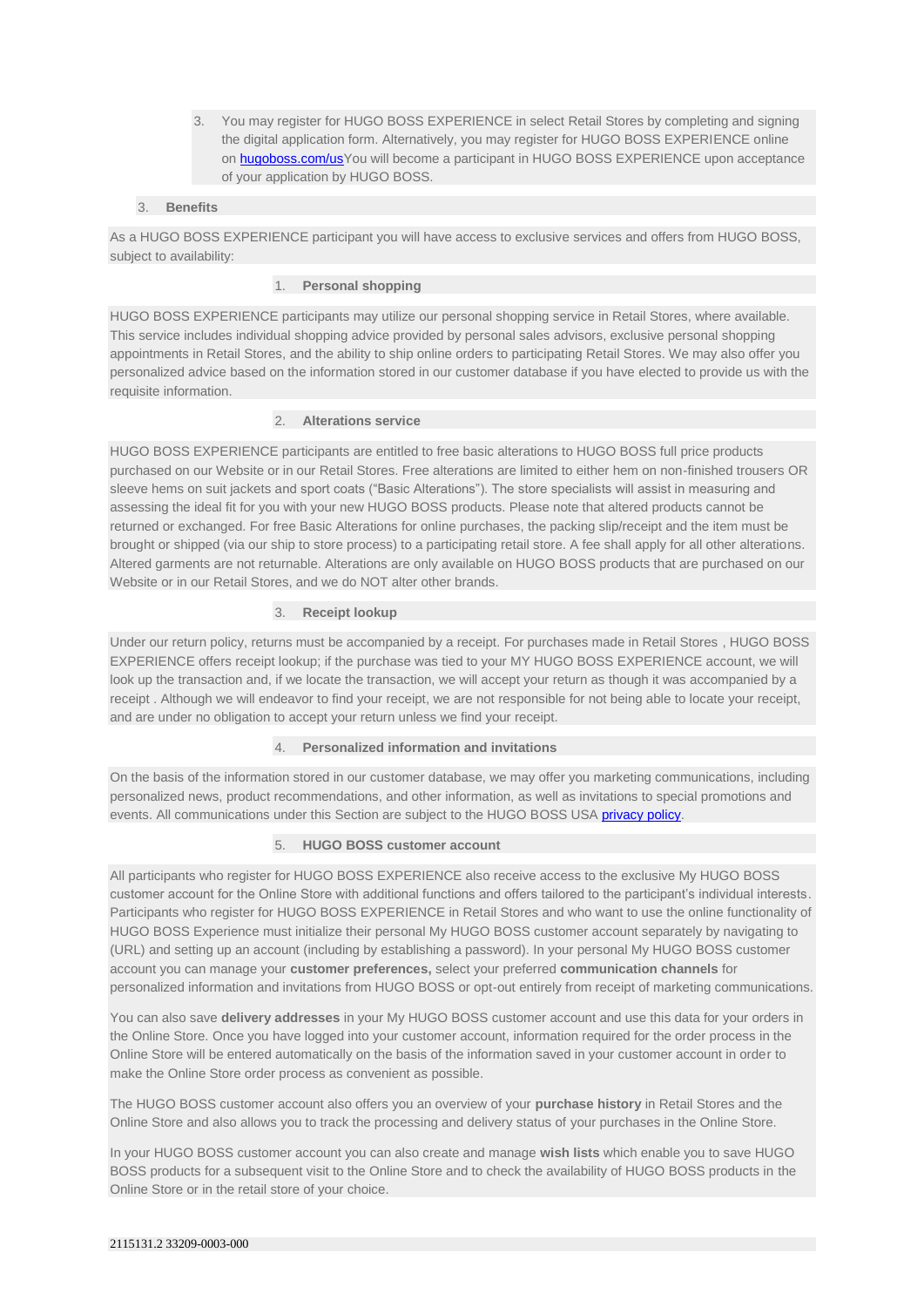3. You may register for HUGO BOSS EXPERIENCE in select Retail Stores by completing and signing the digital application form. Alternatively, you may register for HUGO BOSS EXPERIENCE online on **hugoboss.com/us**You will become a participant in HUGO BOSS EXPERIENCE upon acceptance of your application by HUGO BOSS.

# 3. **Benefits**

As a HUGO BOSS EXPERIENCE participant you will have access to exclusive services and offers from HUGO BOSS, subject to availability:

# 1. **Personal shopping**

HUGO BOSS EXPERIENCE participants may utilize our personal shopping service in Retail Stores, where available. This service includes individual shopping advice provided by personal sales advisors, exclusive personal shopping appointments in Retail Stores, and the ability to ship online orders to participating Retail Stores. We may also offer you personalized advice based on the information stored in our customer database if you have elected to provide us with the requisite information.

# 2. **Alterations service**

HUGO BOSS EXPERIENCE participants are entitled to free basic alterations to HUGO BOSS full price products purchased on our Website or in our Retail Stores. Free alterations are limited to either hem on non-finished trousers OR sleeve hems on suit jackets and sport coats ("Basic Alterations"). The store specialists will assist in measuring and assessing the ideal fit for you with your new HUGO BOSS products. Please note that altered products cannot be returned or exchanged. For free Basic Alterations for online purchases, the packing slip/receipt and the item must be brought or shipped (via our ship to store process) to a participating retail store. A fee shall apply for all other alterations. Altered garments are not returnable. Alterations are only available on HUGO BOSS products that are purchased on our Website or in our Retail Stores, and we do NOT alter other brands.

## 3. **Receipt lookup**

Under our return policy, returns must be accompanied by a receipt. For purchases made in Retail Stores , HUGO BOSS EXPERIENCE offers receipt lookup; if the purchase was tied to your MY HUGO BOSS EXPERIENCE account, we will look up the transaction and, if we locate the transaction, we will accept your return as though it was accompanied by a receipt . Although we will endeavor to find your receipt, we are not responsible for not being able to locate your receipt, and are under no obligation to accept your return unless we find your receipt.

#### 4. **Personalized information and invitations**

On the basis of the information stored in our customer database, we may offer you marketing communications, including personalized news, product recommendations, and other information, as well as invitations to special promotions and events. All communications under this Section are subject to the HUGO BOSS USA [privacy policy.](http://www.hugoboss.com/us/about-hugo-boss/privacy-statement/privacy-statement.html)

## 5. **HUGO BOSS customer account**

All participants who register for HUGO BOSS EXPERIENCE also receive access to the exclusive My HUGO BOSS customer account for the Online Store with additional functions and offers tailored to the participant's individual interests. Participants who register for HUGO BOSS EXPERIENCE in Retail Stores and who want to use the online functionality of HUGO BOSS Experience must initialize their personal My HUGO BOSS customer account separately by navigating to (URL) and setting up an account (including by establishing a password). In your personal My HUGO BOSS customer account you can manage your **customer preferences,** select your preferred **communication channels** for personalized information and invitations from HUGO BOSS or opt-out entirely from receipt of marketing communications.

You can also save **delivery addresses** in your My HUGO BOSS customer account and use this data for your orders in the Online Store. Once you have logged into your customer account, information required for the order process in the Online Store will be entered automatically on the basis of the information saved in your customer account in order to make the Online Store order process as convenient as possible.

The HUGO BOSS customer account also offers you an overview of your **purchase history** in Retail Stores and the Online Store and also allows you to track the processing and delivery status of your purchases in the Online Store.

In your HUGO BOSS customer account you can also create and manage **wish lists** which enable you to save HUGO BOSS products for a subsequent visit to the Online Store and to check the availability of HUGO BOSS products in the Online Store or in the retail store of your choice.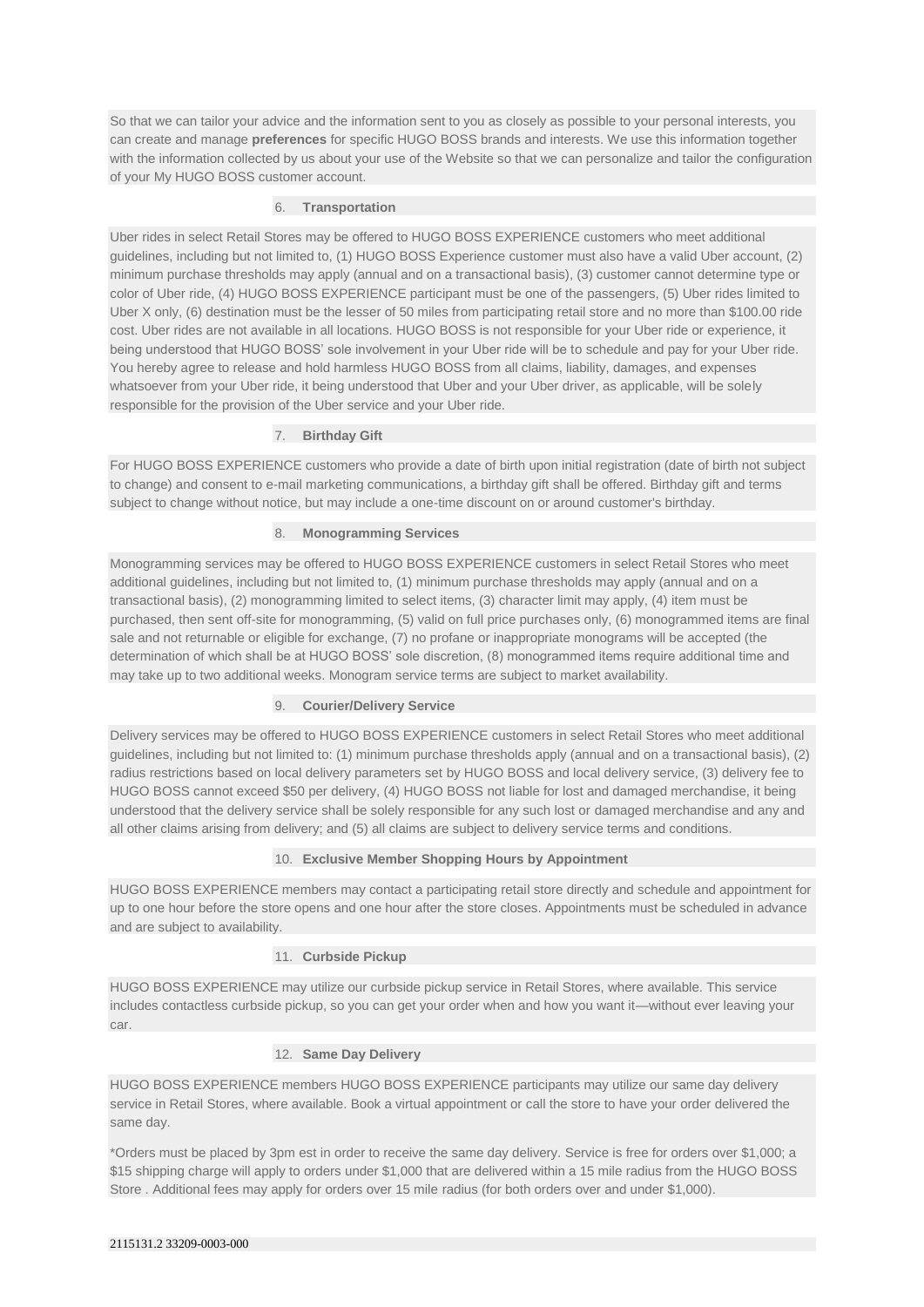So that we can tailor your advice and the information sent to you as closely as possible to your personal interests, you can create and manage **preferences** for specific HUGO BOSS brands and interests. We use this information together with the information collected by us about your use of the Website so that we can personalize and tailor the configuration of your My HUGO BOSS customer account.

## 6. **Transportation**

Uber rides in select Retail Stores may be offered to HUGO BOSS EXPERIENCE customers who meet additional guidelines, including but not limited to, (1) HUGO BOSS Experience customer must also have a valid Uber account, (2) minimum purchase thresholds may apply (annual and on a transactional basis), (3) customer cannot determine type or color of Uber ride, (4) HUGO BOSS EXPERIENCE participant must be one of the passengers, (5) Uber rides limited to Uber X only, (6) destination must be the lesser of 50 miles from participating retail store and no more than \$100.00 ride cost. Uber rides are not available in all locations. HUGO BOSS is not responsible for your Uber ride or experience, it being understood that HUGO BOSS' sole involvement in your Uber ride will be to schedule and pay for your Uber ride. You hereby agree to release and hold harmless HUGO BOSS from all claims, liability, damages, and expenses whatsoever from your Uber ride, it being understood that Uber and your Uber driver, as applicable, will be solely responsible for the provision of the Uber service and your Uber ride.

# 7. **Birthday Gift**

For HUGO BOSS EXPERIENCE customers who provide a date of birth upon initial registration (date of birth not subject to change) and consent to e-mail marketing communications, a birthday gift shall be offered. Birthday gift and terms subject to change without notice, but may include a one-time discount on or around customer's birthday.

## 8. **Monogramming Services**

Monogramming services may be offered to HUGO BOSS EXPERIENCE customers in select Retail Stores who meet additional guidelines, including but not limited to, (1) minimum purchase thresholds may apply (annual and on a transactional basis), (2) monogramming limited to select items, (3) character limit may apply, (4) item must be purchased, then sent off-site for monogramming, (5) valid on full price purchases only, (6) monogrammed items are final sale and not returnable or eligible for exchange, (7) no profane or inappropriate monograms will be accepted (the determination of which shall be at HUGO BOSS' sole discretion, (8) monogrammed items require additional time and may take up to two additional weeks. Monogram service terms are subject to market availability.

# 9. **Courier/Delivery Service**

Delivery services may be offered to HUGO BOSS EXPERIENCE customers in select Retail Stores who meet additional guidelines, including but not limited to: (1) minimum purchase thresholds apply (annual and on a transactional basis), (2) radius restrictions based on local delivery parameters set by HUGO BOSS and local delivery service, (3) delivery fee to HUGO BOSS cannot exceed \$50 per delivery, (4) HUGO BOSS not liable for lost and damaged merchandise, it being understood that the delivery service shall be solely responsible for any such lost or damaged merchandise and any and all other claims arising from delivery; and (5) all claims are subject to delivery service terms and conditions.

#### 10. **Exclusive Member Shopping Hours by Appointment**

HUGO BOSS EXPERIENCE members may contact a participating retail store directly and schedule and appointment for up to one hour before the store opens and one hour after the store closes. Appointments must be scheduled in advance and are subject to availability.

## 11. **Curbside Pickup**

HUGO BOSS EXPERIENCE may utilize our curbside pickup service in Retail Stores, where available. This service includes contactless curbside pickup, so you can get your order when and how you want it—without ever leaving your car.

## 12. **Same Day Delivery**

HUGO BOSS EXPERIENCE members HUGO BOSS EXPERIENCE participants may utilize our same day delivery service in Retail Stores, where available. Book a virtual appointment or call the store to have your order delivered the same day.

\*Orders must be placed by 3pm est in order to receive the same day delivery. Service is free for orders over \$1,000; a \$15 shipping charge will apply to orders under \$1,000 that are delivered within a 15 mile radius from the HUGO BOSS Store . Additional fees may apply for orders over 15 mile radius (for both orders over and under \$1,000).